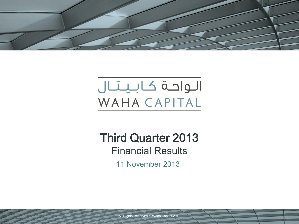

# الواحة كابيتال WAHA CAPITAL

# Third Quarter 2013 Financial Results

11 November 2013

All Rights Reserved © Waha Capital 2013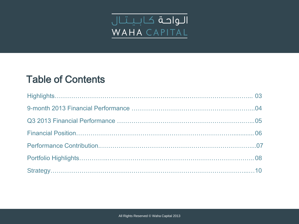

# Table of Contents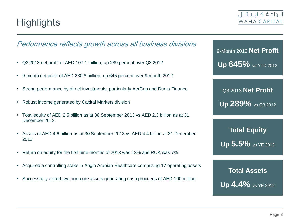

#### Performance reflects growth across all business divisions

- Q3 2013 net profit of AED 107.1 million, up 289 percent over Q3 2012
- 9-month net profit of AED 230.8 million, up 645 percent over 9-month 2012
- Strong performance by direct investments, particularly AerCap and Dunia Finance
- Robust income generated by Capital Markets division
- Total equity of AED 2.5 billion as at 30 September 2013 vs AED 2.3 billion as at 31 December 2012
- Assets of AED 4.6 billion as at 30 September 2013 vs AED 4.4 billion at 31 December 2012
- Return on equity for the first nine months of 2013 was 13% and ROA was 7%
- Acquired a controlling stake in Anglo Arabian Healthcare comprising 17 operating assets
- Successfully exited two non-core assets generating cash proceeds of AED 100 million

9-Month 2013 **Net Profit Up 645%** vs YTD 2012

Q3 2013 **Net Profit Up 289%** vs Q3 2012

**Total Equity Up 5.5%** vs YE 2012

**Total Assets Up 4.4%** vs YE 2012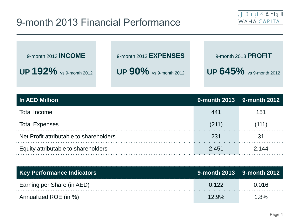# 9-month 2013 Financial Performance



9-month 2013 **INCOME**

**UP 192%** vs 9-month 2012

9-month 2013 **EXPENSES**

**UP 90%** vs 9-month 2012

9-month 2013 **PROFIT**

**UP 645%** vs 9-month 2012

| <b>In AED Million</b>                   |       | 9-month 2013 9-month 2012 |
|-----------------------------------------|-------|---------------------------|
| <b>Total Income</b>                     | 441   | 151                       |
| <b>Total Expenses</b>                   | (211) | (111)                     |
| Net Profit attributable to shareholders | 231   | 3 <sup>1</sup>            |
| Equity attributable to shareholders     | 2.451 | 2 144                     |

| Key Performance Indicators |          | <u>9-month 2013 9-month 2012</u> |
|----------------------------|----------|----------------------------------|
| Earning per Share (in AED) | 0.122    | 0.016                            |
| Annualized ROE (in %)      | $12.9\%$ | 1.8%                             |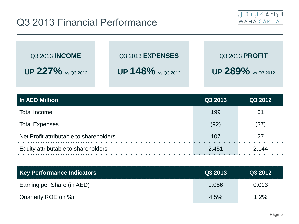

| Q3 2013 <b>INCOME</b>     | Q3 2013 <b>EXPENSES</b>          | Q3 2013 <b>PROFIT</b> |
|---------------------------|----------------------------------|-----------------------|
| <b>UP 227%</b> vs Q3 2012 | UP 148% $\frac{9}{2}$ vs Q3 2012 | UP $289\%$ vs Q3 2012 |

| <b>In AED Million</b>                   | Q3 2013 | Q3 2012 |
|-----------------------------------------|---------|---------|
| <b>Total Income</b>                     | 199     | 61      |
| <b>Total Expenses</b>                   | 92      | 37      |
| Net Profit attributable to shareholders | 107     | 27      |
| Equity attributable to shareholders     | 2,451   | 2 144   |

| Key Performance Indicators <sub> </sub> | Q3 2013 | Q3 2012 |
|-----------------------------------------|---------|---------|
| Earning per Share (in AED)              | 0.056   | 0.013   |
| Quarterly ROE (in %)                    | $4.5\%$ | $1.2\%$ |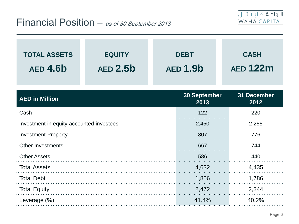

| <b>TOTAL ASSETS</b><br><b>AED 4.6b</b>   | <b>EQUITY</b><br><b>AED 2.5b</b> | <b>DEBT</b><br><b>AED 1.9b</b> | <b>CASH</b><br><b>AED 122m</b> |
|------------------------------------------|----------------------------------|--------------------------------|--------------------------------|
| <b>AED in Million</b>                    |                                  | <b>30 September</b><br>2013    | 31 December<br>2012            |
| Cash                                     |                                  | 122                            | 220                            |
| Investment in equity-accounted investees |                                  | 2,450                          | 2,255                          |
| <b>Investment Property</b>               |                                  | 807                            | 776                            |
| <b>Other Investments</b>                 |                                  | 667                            | 744                            |
| <b>Other Assets</b>                      |                                  | 586                            | 440                            |
| <b>Total Assets</b>                      |                                  | 4,632                          | 4,435                          |
| <b>Total Debt</b>                        |                                  | 1,856                          | 1,786                          |
| <b>Total Equity</b>                      |                                  | 2,472                          | 2,344                          |
| Leverage (%)                             |                                  | 41.4%                          | 40.2%                          |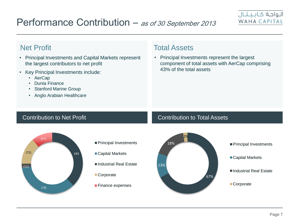# Performance Contribution – as of 30 September 2013



- Principal Investments and Capital Markets represent the largest contributors to net profit
- Key Principal Investments include:
	- AerCap
	- Dunia Finance
	- Stanford Marine Group
	- Anglo Arabian Healthcare

### **Net Profit** Net Profit

• Principal Investments represent the largest component of total assets with AerCap comprising 43% of the total assets

#### Contribution to Net Profit Contribution to Total Assets



- Principal Investments
- Capital Markets
- Industrial Real Estate
- Corporate
- **Finance expenses**

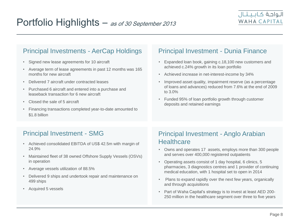### Principal Investments - AerCap Holdings Principal Investment - Dunia Finance

- Signed new lease agreements for 10 aircraft
- Average term of lease agreements in past 12 months was 165 months for new aircraft
- Delivered 7 aircraft under contracted leases
- Purchased 6 aircraft and entered into a purchase and leaseback transaction for 6 new aircraft
- Closed the sale of 5 aircraft
- Financing transactions completed year-to-date amounted to \$1.8 billion

- Expanded loan book, gaining c.18,100 new customers and achieved c.24% growth in its loan portfolio
- Achieved increase in net-interest-income by 34%
- Improved asset quality, impairment reserve (as a percentage of loans and advances) reduced from 7.6% at the end of 2009 to 3.0%
- Funded 95% of loan portfolio growth through customer deposits and retained earnings

- Achieved consolidated EBITDA of US\$ 42.5m with margin of 24.9%
- Maintained fleet of 38 owned Offshore Supply Vessels (OSVs) in operation
- Average vessels utilization of 88.5%
- Delivered 9 ships and undertook repair and maintenance on 499 ships
- Acquired 5 vessels

### Principal Investment - SMG Principal Investment - Anglo Arabian **Healthcare**

- Owns and operates 17 assets, employs more than 300 people and serves over 400,000 registered outpatients
- Operating assets consist of 1 day hospital, 6 clinics, 5 pharmacies, 3 diagnostics centres and 1 provider of continuing medical education, with 1 hospital set to open in 2014
- Plans to expand rapidly over the next few years, organically and through acquisitions
- Part of Waha Capital's strategy is to invest at least AED 200- 250 million in the healthcare segment over three to five years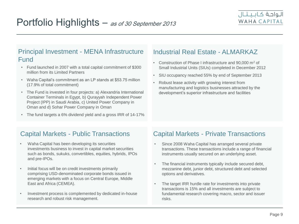### Principal Investment - MENA Infrastructure | Industrial Real Estate - ALMARKAZ Fund • Construction of Phase I infrastructure and 90,000 m<sup>2</sup> of

- Fund launched in 2007 with a total capital commitment of \$300 million from its Limited Partners
- Waha Capital's commitment as an LP stands at \$53.75 million (17.9% of total commitment)
- The Fund is invested in four projects: a) Alexandria International Container Terminals in Egypt, b) Qurayyah Independent Power Project (IPP) in Saudi Arabia, c) United Power Company in Oman and d) Sohar Power Company in Oman
- The fund targets a 6% dividend yield and a gross IRR of 14-17%

- Small Industrial Units (SIUs) completed in December 2012
- SIU occupancy reached 55% by end of September 2013
- Robust lease activity with growing interest from manufacturing and logistics businesses attracted by the development's superior infrastructure and facilities

### Capital Markets - Public Transactions

- Waha Capital has been developing its securities investments business to invest in capital market securities such as bonds, sukuks, convertibles, equities, hybrids, IPOs and pre-IPOs.
- Initial focus will be on credit investments primarily comprising USD-denominated corporate bonds issued in emerging markets with a focus on Central Europe, Middle East and Africa (CEMEA).
- Investment process is complemented by dedicated in-house research and robust risk management.

### Capital Markets - Private Transactions

- Since 2008 Waha Capital has arranged several private transactions. These transactions include a range of financial instruments usually secured on an underlying asset.
- The financial instruments typically include secured debt, mezzanine debt, junior debt, structured debt and selected options and derivatives.
- The target IRR hurdle rate for investments into private transactions is 15% and all investments are subject to fundamental research covering macro, sector and issuer risks.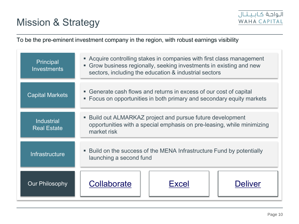

To be the pre-eminent investment company in the region, with robust earnings visibility

| Principal<br><b>Investments</b>         | • Acquire controlling stakes in companies with first class management<br>• Grow business regionally, seeking investments in existing and new<br>sectors, including the education & industrial sectors |  |  |
|-----------------------------------------|-------------------------------------------------------------------------------------------------------------------------------------------------------------------------------------------------------|--|--|
| <b>Capital Markets</b>                  | • Generate cash flows and returns in excess of our cost of capital<br>• Focus on opportunities in both primary and secondary equity markets                                                           |  |  |
| <b>Industrial</b><br><b>Real Estate</b> | • Build out ALMARKAZ project and pursue future development<br>opportunities with a special emphasis on pre-leasing, while minimizing<br>market risk                                                   |  |  |
| Infrastructure                          | • Build on the success of the MENA Infrastructure Fund by potentially<br>launching a second fund                                                                                                      |  |  |
| <b>Our Philosophy</b>                   | Collaborate<br><b>Deliver</b><br>Excel                                                                                                                                                                |  |  |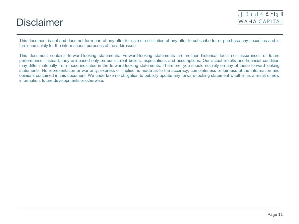## **Disclaimer**



This document is not and does not form part of any offer for sale or solicitation of any offer to subscribe for or purchase any securities and is furnished solely for the informational purposes of the addressee.

This document contains forward-looking statements. Forward-looking statements are neither historical facts nor assurances of future performance. Instead, they are based only on our current beliefs, expectations and assumptions. Our actual results and financial condition may differ materially from those indicated in the forward-looking statements. Therefore, you should not rely on any of these forward-looking statements. No representation or warranty, express or implied, is made as to the accuracy, completeness or fairness of the information and opinions contained in this document. We undertake no obligation to publicly update any forward-looking statement whether as a result of new information, future developments or otherwise.